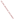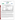## **THE ENVIRONMENTAL TECHNOLOGY VERIFICATION**







|  |  | <b>ETV Joint Verification Statement</b> |  |
|--|--|-----------------------------------------|--|
|--|--|-----------------------------------------|--|

|                                   | TECHNOLOGY TYPE: MULTI-PARAMETER WATER MONITORS FOR<br><b>DISTRIBUTION SYSTEMS</b> |                                             |  |  |  |  |
|-----------------------------------|------------------------------------------------------------------------------------|---------------------------------------------|--|--|--|--|
| <b>APPLICATION:</b>               | <b>MONITORING DRINKING WATER QUALITY</b>                                           |                                             |  |  |  |  |
| <b>TECHNOLOGY NAME: Model WQS</b> |                                                                                    |                                             |  |  |  |  |
| <b>COMPANY:</b>                   | <b>Rosemount Analytical</b>                                                        |                                             |  |  |  |  |
| <b>ADDRESS:</b>                   | 2400 Barranca Parkway<br><b>Irvine, CA 92606</b>                                   | PHONE: 949-757-8500<br>949-863-9159<br>FAX: |  |  |  |  |
| <b>WEB SITE:</b>                  | www.emersonprocess.com                                                             |                                             |  |  |  |  |
| $E\text{-}MAIL:$                  | Richard.Baril@EmersonProcess.com                                                   |                                             |  |  |  |  |

The U.S. Environmental Protection Agency (EPA) supports the Environmental Technology Verification (ETV) Program to facilitate the deployment of innovative or improved environmental technologies through performance verification and dissemination of information. The goal of the ETV Program is to further environmental protection by accelerating the acceptance and use of improved and cost-effective technologies. ETV seeks to achieve this goal by providing high-quality, peer-reviewed data on technology performance to those involved in the design, distribution, financing, permitting, purchase, and use of environmental technologies. Information and ETV documents are available at www.epa.gov/etv.

ETV works in partnership with recognized standards and testing organizations, with stakeholder groups (consisting of buyers, vendor organizations, and permitters), and with individual technology developers. The program evaluates the performance of innovative technologies by developing test plans that are responsive to the needs of stakeholders, conducting field or laboratory tests (as appropriate), collecting and analyzing data, and preparing peer-reviewed reports. All evaluations are conducted in accordance with rigorous quality assurance (QA) protocols to ensure that data of known and adequate quality are generated and that the results are defensible.

The Advanced Monitoring Systems (AMS) Center, one of six technology areas under ETV, is operated by Battelle in cooperation with EPA's National Exposure Research Laboratory. The AMS Center evaluated the performance of the Rosemount Analytical Multi-Parameter/Optical Water Quality System (Model WQS) in continuously measuring free chlorine, temperature, conductivity, pH, and oxidation-reduction potential (ORP) in drinking water. This verification statement provides a summary of the test results.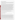## **VERIFICATION TEST DESCRIPTION**

The performance of the WQS unit was assessed in terms of its accuracy, response to injected contaminants, interunit reproducibility, ease of use, and data acquisition. The verification test was conducted between August 9 and October 28, 2004, and consisted of three stages, each designed to evaluate a particular performance characteristic of the WQS unit. All three stages of the test were conducted using a recirculating pipe loop at the U.S. EPA's Test and Evaluation Facility in Cincinnati, Ohio.

In the first stage of this verification test, the accuracy of the measurements made by the WQS units was evaluated during nine, 4-hour periods of stable water quality conditions by comparing each WQS unit measurement to a grab sample result generated each hour using a standard laboratory reference method and then calculating the percent difference (%D). The second stage of the verification test involved evaluating the response of the WQS units to changes in water quality parameters by injecting contaminants (nicotine, arsenic trioxide, and aldicarb) into the pipe loop. Two injections of three contaminants were made into the recirculating pipe loop containing finished Cincinnati drinking water. The response of each water quality parameter, whether it was an increase, decrease, or no change, was documented and is reported here. In the first phase of Stage 3 of the verification test, the performance of the WQS units was evaluated during 52 days of continuous operation, throughout which references samples were collected once daily. The final phase of Stage 3 (which immediately followed the first phase of Stage 3 and lasted approximately one week) consisted of a two-step evaluation of the WQS performance to determine whether this length of operation would negatively impact the results from the WQS. First, as during Stage 1, a reference grab sample was collected every hour during a 4-hour analysis period and analyzed using the standard reference methods. Again, this was done to define a formal time period of stable water quality conditions over which the accuracy of the WQS could be evaluated. Second, to evaluate the response of the WQS unit to contaminant injection after the extended deployment, the duplicate injection of aldicarb, which was also included in the Stage 2 testing, was repeated. In addition, a pure *E. coli* culture, including the *E. coli* and the growth medium, was included as a second injected contaminant during Stage 3. Inter-unit reproducibility was assessed by comparing the results of two identical units operating simultaneously. Ease of use was documented by technicians who operated and maintained the units, as well as the Battelle Verification Test Coordinator.

QA oversight of verification testing was provided by Battelle and EPA. Battelle QA staff conducted a technical systems audit, a performance evaluation audit, and a data quality audit of 10% of the test data.

This verification statement, the full report on which it is based, and the test/QA plan for this verification test are all available at www.epa.gov/etv/centers/center1.html.

## **TECHNOLOGY DESCRIPTION**

The following description of the WQS unit was provided by the vendor and does not represent verified information.

The WQS unit measures pH, ORP, conductivity, temperature, and free chlorine in drinking water. The system combines user-specified instruments and sensors to create a customized system for monitoring water quality. The WQS unit does not need added reagents and uses minimum process flows of less than 183 milliliters per minute. The WQS unit uses three basic electrochemical principles of operation: millivolt measurements for pH and ORP, conductance/resistance measurements for conductivity, and amperometric/polarographic measurements for chlorine residuals. The WQS unit continuously monitors each parameter to provide constant surveillance of water quality events to ensure that acceptable water quality conditions are maintained. The WQS unit includes a sensor, cables, and instruments to measure water quality parameters. The verified WQS unit was 26 inches high and 32 inches wide. The width varies by system from 26 inches to 50 inches wide. The data output from the system is available as 4/20 mA analog, highway addressable remote transducer (HART®) or Foundation fieldbus® (H1), RS-485, Ethernet, or Modbus RTU digital outputs. It uses 115/230-volt alternating current or 24-volt direct current.

During this verification test, a Fluke (Everette, Washington) data logger was configured to the WQS unit to record the data every 30 seconds. The data logger was connected to a laptop computer that stored the data onto its hard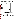drive as a delimited text file that was easily imported into a spreadsheet. The costs of the units as configured for the verification test ranged from \$12,000 to \$15,000. In addition, calibration reagents cost approximately \$200 annually.

## **VERIFICATION OF PERFORMANCE**

|                                                                        |                                                                                                                                                                                                                                                                                                                                                                                                                                                                                                                                           | Free                                                                                                                                                                   | Tem-                     |                           |                     |                             |                          |  |  |
|------------------------------------------------------------------------|-------------------------------------------------------------------------------------------------------------------------------------------------------------------------------------------------------------------------------------------------------------------------------------------------------------------------------------------------------------------------------------------------------------------------------------------------------------------------------------------------------------------------------------------|------------------------------------------------------------------------------------------------------------------------------------------------------------------------|--------------------------|---------------------------|---------------------|-----------------------------|--------------------------|--|--|
| <b>Evaluation Parameter</b>                                            |                                                                                                                                                                                                                                                                                                                                                                                                                                                                                                                                           |                                                                                                                                                                        | <b>Chlorine</b>          | perature                  | Conductivity        | pH                          | <b>ORP</b>               |  |  |
| Units 1 and 2,<br>Stage 1-                                             |                                                                                                                                                                                                                                                                                                                                                                                                                                                                                                                                           |                                                                                                                                                                        | $-11.1$ to 96.7          | $-5.9$ to 1.5             | 2.9 to 5.3          | $-7.4$ to $-1.1$            | (a)                      |  |  |
| <b>Accuracy</b>                                                        |                                                                                                                                                                                                                                                                                                                                                                                                                                                                                                                                           | range of %D (median)                                                                                                                                                   | (14.5)                   | $(-1.7)$                  | (4.2)               | $(-3.0)$                    |                          |  |  |
|                                                                        | Nicotine                                                                                                                                                                                                                                                                                                                                                                                                                                                                                                                                  | Reference                                                                                                                                                              | $\overline{a}$           | NC                        | NC                  | NC                          | $\equiv$                 |  |  |
|                                                                        |                                                                                                                                                                                                                                                                                                                                                                                                                                                                                                                                           | <b>WQS</b>                                                                                                                                                             |                          | NC                        | NC                  | NC                          |                          |  |  |
| <b>Stage 2- Response</b>                                               | Arsenic                                                                                                                                                                                                                                                                                                                                                                                                                                                                                                                                   | Reference                                                                                                                                                              | $\overline{\phantom{0}}$ | NC                        | $\qquad \qquad +$   | $\ddot{}$                   | $\overline{\phantom{0}}$ |  |  |
| to Injected<br><b>Contaminants</b>                                     | trioxide                                                                                                                                                                                                                                                                                                                                                                                                                                                                                                                                  | <b>WQS</b>                                                                                                                                                             | (b)                      | NC                        | $\ddot{}$           | $\ddot{}$                   | L.                       |  |  |
|                                                                        |                                                                                                                                                                                                                                                                                                                                                                                                                                                                                                                                           | Reference                                                                                                                                                              | $\equiv$                 | NC                        | N <sub>C</sub>      | NC                          |                          |  |  |
|                                                                        | Aldicarb                                                                                                                                                                                                                                                                                                                                                                                                                                                                                                                                  | <b>WQS</b>                                                                                                                                                             |                          | <b>NC</b>                 | NC                  | NC                          | $\overline{\phantom{0}}$ |  |  |
| <b>Stage 3-Accuracy</b><br><b>During Extended</b><br><b>Deployment</b> | Units 1 and 2,<br>range of %D (median)                                                                                                                                                                                                                                                                                                                                                                                                                                                                                                    |                                                                                                                                                                        | $-36.2$ to 68.3<br>(1.6) | $-4.1$ to 2.4<br>$(-0.2)$ | 3.4 to 6.7<br>(5.2) | $-2.8$ to $1.8$<br>$(-1.2)$ | (a)                      |  |  |
| <b>Stage 3-Accuracy</b>                                                | Unit 1, %D                                                                                                                                                                                                                                                                                                                                                                                                                                                                                                                                |                                                                                                                                                                        | $-1.1$                   | 0.6                       | 5.1                 | $-0.6$                      | (a)                      |  |  |
| <b>After Extended</b><br>Deployment                                    | Unit 2, %D                                                                                                                                                                                                                                                                                                                                                                                                                                                                                                                                |                                                                                                                                                                        | $-2.2$                   | 0.2                       | 5.3                 | $-0.9$                      | (a)                      |  |  |
|                                                                        |                                                                                                                                                                                                                                                                                                                                                                                                                                                                                                                                           | Reference                                                                                                                                                              | $\overline{a}$           | NC                        | $\boldsymbol{+}$    | $\equiv$                    | $\overline{\phantom{0}}$ |  |  |
| <b>Stage 3- Response</b><br>to Injected                                | E. coli                                                                                                                                                                                                                                                                                                                                                                                                                                                                                                                                   | <b>WOS</b>                                                                                                                                                             | $\equiv$                 | NC                        | NC                  | $\equiv$                    | $\equiv$                 |  |  |
| <b>Contaminants</b>                                                    | Aldicarb                                                                                                                                                                                                                                                                                                                                                                                                                                                                                                                                  | Reference                                                                                                                                                              | $\equiv$                 | NC                        | NC                  | $\overline{\phantom{0}}$    | $\overline{\phantom{a}}$ |  |  |
|                                                                        |                                                                                                                                                                                                                                                                                                                                                                                                                                                                                                                                           | <b>WQS</b>                                                                                                                                                             | (b)                      | NC                        | NC                  | <b>NC</b>                   | $\overline{a}$           |  |  |
| <b>Injection Summary</b>                                               |                                                                                                                                                                                                                                                                                                                                                                                                                                                                                                                                           | For a reason that is not clear, aldicarb altered the pH, as measured by the reference method,<br>during the Stage 3 injections, but not during the Stage 2 injections. |                          |                           |                     |                             |                          |  |  |
|                                                                        | Slope (intercept)                                                                                                                                                                                                                                                                                                                                                                                                                                                                                                                         |                                                                                                                                                                        | 0.48(0.45)               | $1.01(-0.19)$             | 1.00(0.26)          | 0.97(0.25)                  | $0.97(-4.38)$            |  |  |
|                                                                        | $\overline{r^2}$                                                                                                                                                                                                                                                                                                                                                                                                                                                                                                                          |                                                                                                                                                                        | 0.271                    | 0.999                     | 1.00                | 0.958                       | 0.950                    |  |  |
|                                                                        | p-value                                                                                                                                                                                                                                                                                                                                                                                                                                                                                                                                   |                                                                                                                                                                        | 0.367                    | 0.882                     | 0.787               | 0.832                       | $0.011^{(c)}$            |  |  |
| <b>Inter-unit</b><br><b>Reproducibility</b><br>(Unit 2 vs. Unit 1)     | With the exception of ORP, the t-test indicated that the sensors on each unit were performing<br>similarly. For ORP, the linear correlation between the two units was very high, but the extremely<br>small variability in the signal caused the difference between the two units to be statistically<br>significant. Although the free chlorine sensors were not highly correlated with one another, the<br>large variability in their measurements prevented the t-test from determining a significant<br>difference between the units. |                                                                                                                                                                        |                          |                           |                     |                             |                          |  |  |
| <b>Acquisition</b>                                                     | Based on the performance of the free chlorine sensors, calibration and membrane replacement<br><b>Ease of Use and Data</b> may have to occur periodically to maintain accurate measurements, especially those involving<br>response to injected contaminants. Also, the regular variability in free chlorine and pH<br>measurements may prevent observing small changes in those water quality parameters.                                                                                                                                |                                                                                                                                                                        |                          |                           |                     |                             |                          |  |  |

(a) Because a laboratory reference measurement equivalent to the on-line continuous measurement was not available, ORP was not included in the accuracy evaluation.

(b) Results from duplicate injections did not agree.

(c) The difference between the results from the two sensors was statistically significant.

 $+/-$  = Parameter measurement increased/decreased upon injection.

NC = No obvious change was noted through a visual inspection of the data.